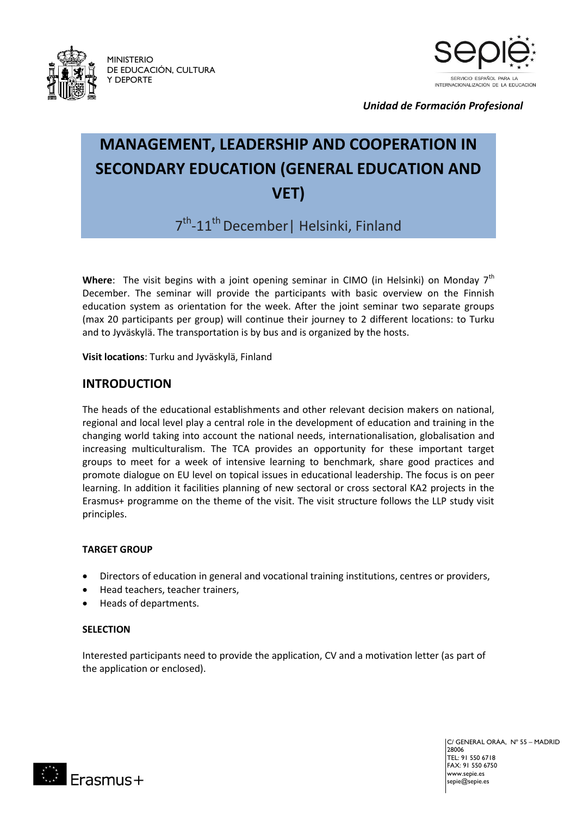

MINISTERIO DE EDUCACIÓN, CULTURA Y DEPORTE



*Unidad de Formación Profesional*

## **MANAGEMENT, LEADERSHIP AND COOPERATION IN SECONDARY EDUCATION (GENERAL EDUCATION AND VET)**

7<sup>th</sup>-11<sup>th</sup> December | Helsinki, Finland

Where: The visit begins with a joint opening seminar in CIMO (in Helsinki) on Monday 7<sup>th</sup> December. The seminar will provide the participants with basic overview on the Finnish education system as orientation for the week. After the joint seminar two separate groups (max 20 participants per group) will continue their journey to 2 different locations: to Turku and to Jyväskylä. The transportation is by bus and is organized by the hosts.

**Visit locations**: Turku and Jyväskylä, Finland

#### **INTRODUCTION**

The heads of the educational establishments and other relevant decision makers on national, regional and local level play a central role in the development of education and training in the changing world taking into account the national needs, internationalisation, globalisation and increasing multiculturalism. The TCA provides an opportunity for these important target groups to meet for a week of intensive learning to benchmark, share good practices and promote dialogue on EU level on topical issues in educational leadership. The focus is on peer learning. In addition it facilities planning of new sectoral or cross sectoral KA2 projects in the Erasmus+ programme on the theme of the visit. The visit structure follows the LLP study visit principles.

#### **TARGET GROUP**

- Directors of education in general and vocational training institutions, centres or providers,
- Head teachers, teacher trainers,
- Heads of departments.

#### **SELECTION**

Interested participants need to provide the application, CV and a motivation letter (as part of the application or enclosed).

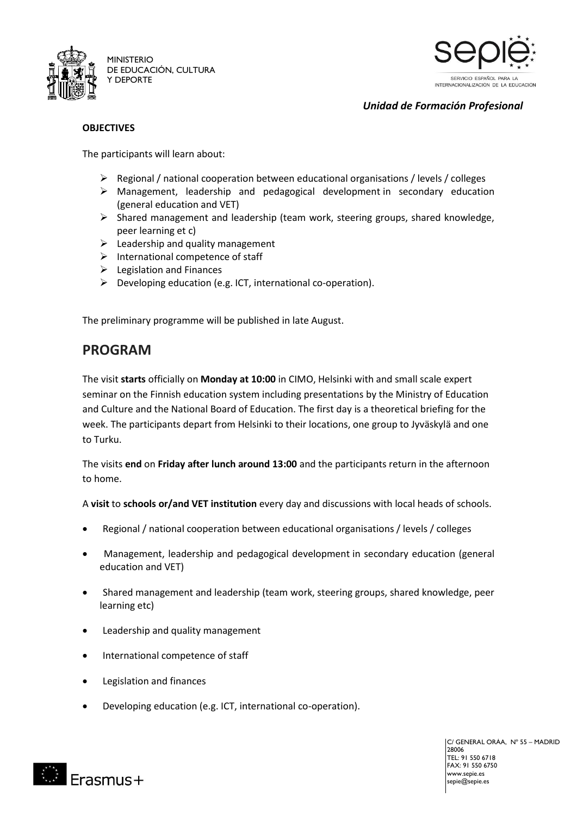



*Unidad de Formación Profesional*

#### **OBJECTIVES**

The participants will learn about:

- $\triangleright$  Regional / national cooperation between educational organisations / levels / colleges
- $\triangleright$  Management, leadership and pedagogical development in secondary education (general education and VET)
- $\triangleright$  Shared management and leadership (team work, steering groups, shared knowledge, peer learning et c)
- $\triangleright$  Leadership and quality management
- $\triangleright$  International competence of staff
- $\triangleright$  Legislation and Finances
- $\triangleright$  Developing education (e.g. ICT, international co-operation).

The preliminary programme will be published in late August.

### **PROGRAM**

The visit **starts** officially on **Monday at 10:00** in CIMO, Helsinki with and small scale expert seminar on the Finnish education system including presentations by the Ministry of Education and Culture and the National Board of Education. The first day is a theoretical briefing for the week. The participants depart from Helsinki to their locations, one group to Jyväskylä and one to Turku.

The visits **end** on **Friday after lunch around 13:00** and the participants return in the afternoon to home.

A **visit** to **schools or/and VET institution** every day and discussions with local heads of schools.

- Regional / national cooperation between educational organisations / levels / colleges
- Management, leadership and pedagogical development in secondary education (general education and VET)
- Shared management and leadership (team work, steering groups, shared knowledge, peer learning etc)
- Leadership and quality management
- International competence of staff
- Legislation and finances
- Developing education (e.g. ICT, international co-operation).